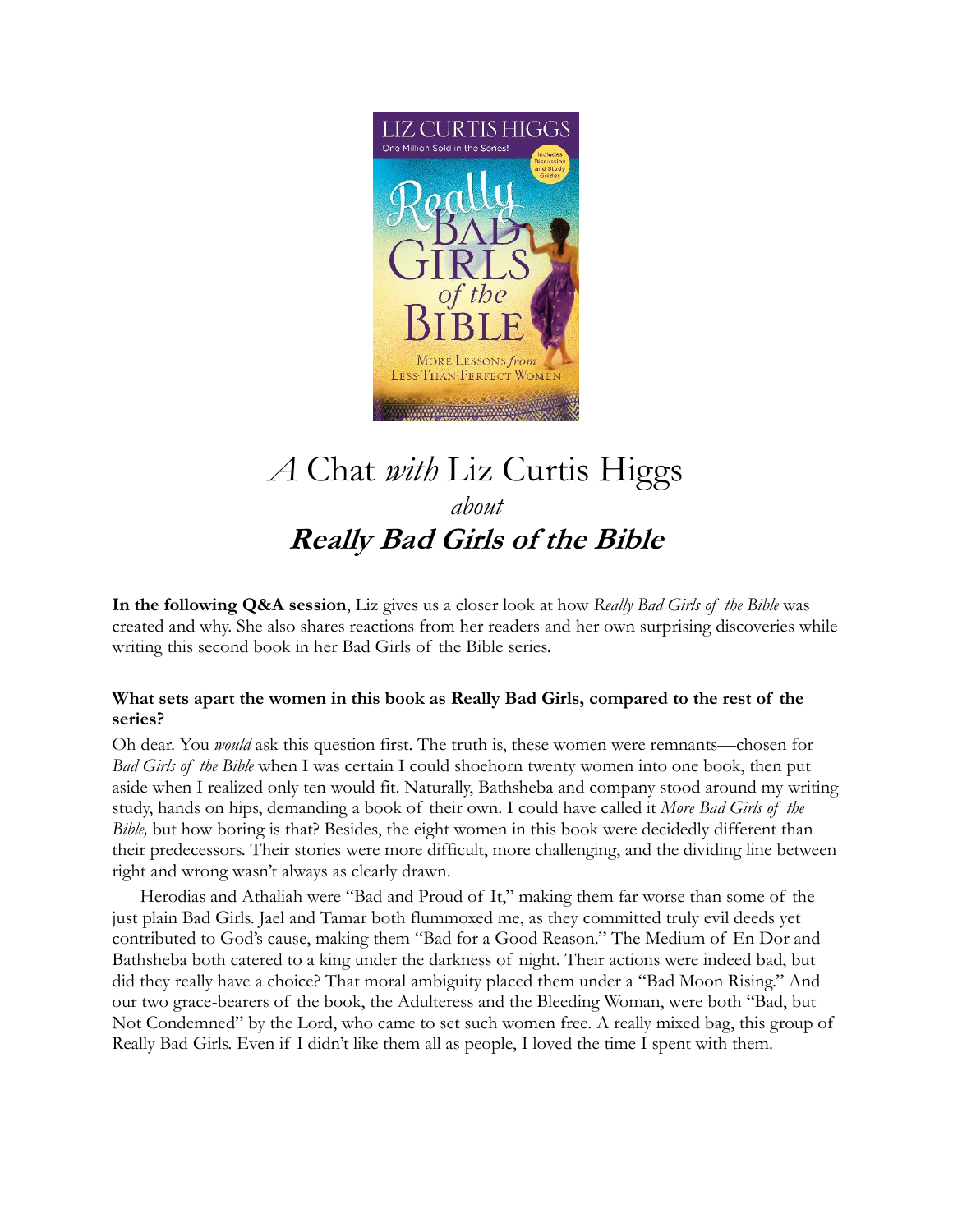

# *A* Chat *with* Liz Curtis Higgs *about* **Really Bad Girls of the Bible**

**In the following Q&A session**, Liz gives us a closer look at how *Really Bad Girls of the Bible* was created and why. She also shares reactions from her readers and her own surprising discoveries while writing this second book in her Bad Girls of the Bible series.

# **What sets apart the women in this book as Really Bad Girls, compared to the rest of the series?**

Oh dear. You *would* ask this question first. The truth is, these women were remnants—chosen for *Bad Girls of the Bible* when I was certain I could shoehorn twenty women into one book, then put aside when I realized only ten would fit. Naturally, Bathsheba and company stood around my writing study, hands on hips, demanding a book of their own. I could have called it *More Bad Girls of the Bible,* but how boring is that? Besides, the eight women in this book were decidedly different than their predecessors. Their stories were more difficult, more challenging, and the dividing line between right and wrong wasn't always as clearly drawn.

Herodias and Athaliah were "Bad and Proud of It," making them far worse than some of the just plain Bad Girls. Jael and Tamar both flummoxed me, as they committed truly evil deeds yet contributed to God's cause, making them "Bad for a Good Reason." The Medium of En Dor and Bathsheba both catered to a king under the darkness of night. Their actions were indeed bad, but did they really have a choice? That moral ambiguity placed them under a "Bad Moon Rising." And our two grace-bearers of the book, the Adulteress and the Bleeding Woman, were both "Bad, but Not Condemned" by the Lord, who came to set such women free. A really mixed bag, this group of Really Bad Girls. Even if I didn't like them all as people, I loved the time I spent with them.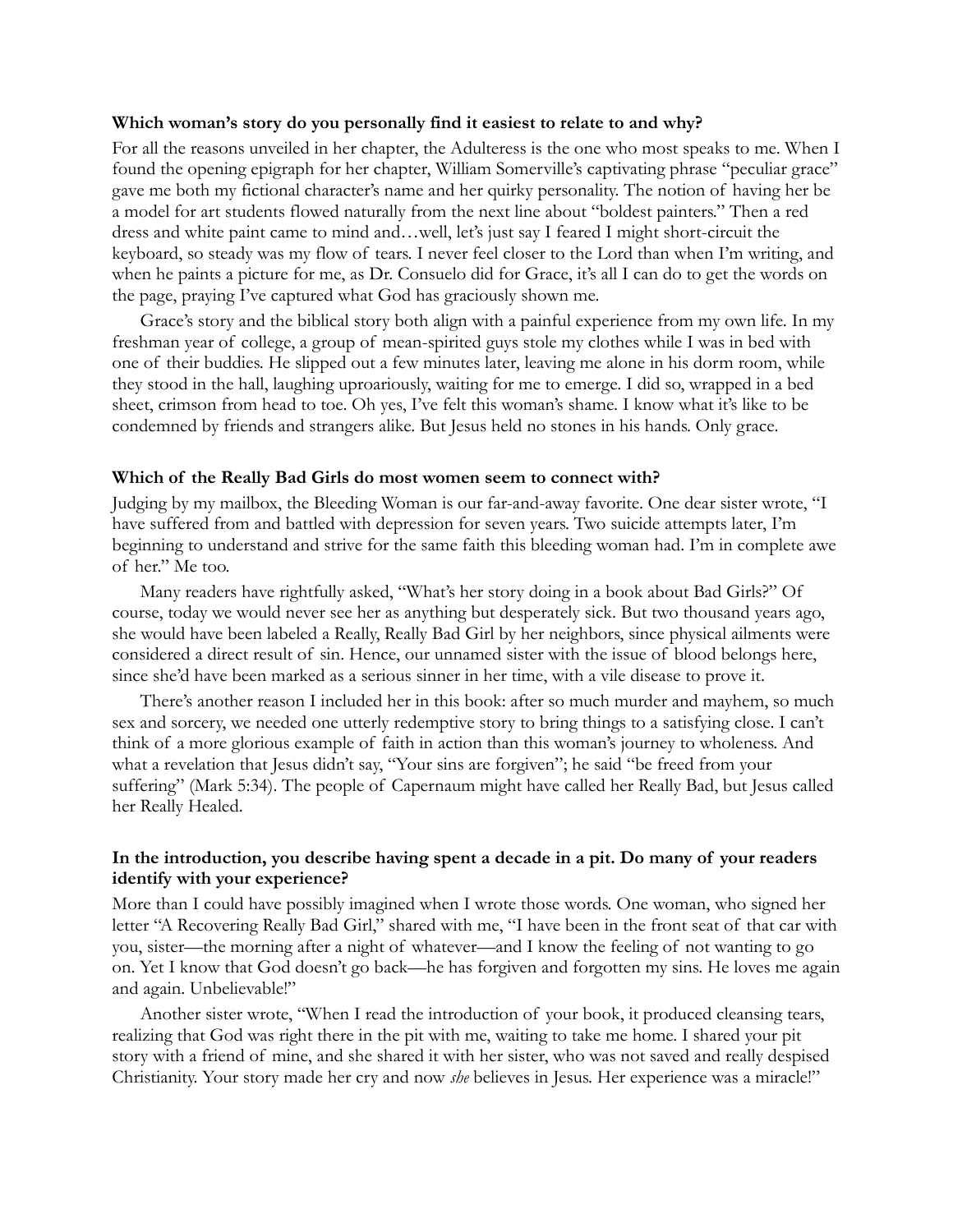#### **Which woman's story do you personally find it easiest to relate to and why?**

For all the reasons unveiled in her chapter, the Adulteress is the one who most speaks to me. When I found the opening epigraph for her chapter, William Somerville's captivating phrase "peculiar grace" gave me both my fictional character's name and her quirky personality. The notion of having her be a model for art students flowed naturally from the next line about "boldest painters." Then a red dress and white paint came to mind and…well, let's just say I feared I might short-circuit the keyboard, so steady was my flow of tears. I never feel closer to the Lord than when I'm writing, and when he paints a picture for me, as Dr. Consuelo did for Grace, it's all I can do to get the words on the page, praying I've captured what God has graciously shown me.

Grace's story and the biblical story both align with a painful experience from my own life. In my freshman year of college, a group of mean-spirited guys stole my clothes while I was in bed with one of their buddies. He slipped out a few minutes later, leaving me alone in his dorm room, while they stood in the hall, laughing uproariously, waiting for me to emerge. I did so, wrapped in a bed sheet, crimson from head to toe. Oh yes, I've felt this woman's shame. I know what it's like to be condemned by friends and strangers alike. But Jesus held no stones in his hands. Only grace.

#### **Which of the Really Bad Girls do most women seem to connect with?**

Judging by my mailbox, the Bleeding Woman is our far-and-away favorite. One dear sister wrote, "I have suffered from and battled with depression for seven years. Two suicide attempts later, I'm beginning to understand and strive for the same faith this bleeding woman had. I'm in complete awe of her." Me too.

Many readers have rightfully asked, "What's her story doing in a book about Bad Girls?" Of course, today we would never see her as anything but desperately sick. But two thousand years ago, she would have been labeled a Really, Really Bad Girl by her neighbors, since physical ailments were considered a direct result of sin. Hence, our unnamed sister with the issue of blood belongs here, since she'd have been marked as a serious sinner in her time, with a vile disease to prove it.

There's another reason I included her in this book: after so much murder and mayhem, so much sex and sorcery, we needed one utterly redemptive story to bring things to a satisfying close. I can't think of a more glorious example of faith in action than this woman's journey to wholeness. And what a revelation that Jesus didn't say, "Your sins are forgiven"; he said "be freed from your suffering" (Mark 5:34). The people of Capernaum might have called her Really Bad, but Jesus called her Really Healed.

## **In the introduction, you describe having spent a decade in a pit. Do many of your readers identify with your experience?**

More than I could have possibly imagined when I wrote those words. One woman, who signed her letter "A Recovering Really Bad Girl," shared with me, "I have been in the front seat of that car with you, sister—the morning after a night of whatever—and I know the feeling of not wanting to go on. Yet I know that God doesn't go back—he has forgiven and forgotten my sins. He loves me again and again. Unbelievable!"

Another sister wrote, "When I read the introduction of your book, it produced cleansing tears, realizing that God was right there in the pit with me, waiting to take me home. I shared your pit story with a friend of mine, and she shared it with her sister, who was not saved and really despised Christianity. Your story made her cry and now *she* believes in Jesus. Her experience was a miracle!"